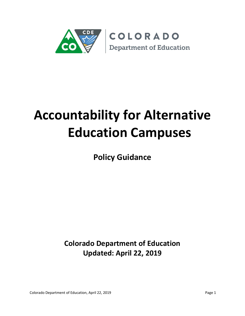

# **Accountability for Alternative Education Campuses**

**Policy Guidance**

**Colorado Department of Education Updated: April 22, 2019**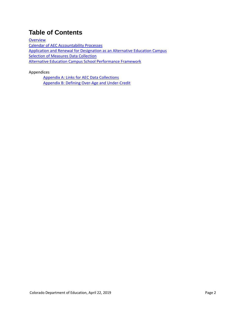## **Table of Contents**

**[Overview](#page-2-0)** [Calendar of AEC Accountability Processes](#page-4-0) [Application and Renewal for Designation as an Alternative Education Campus](#page-5-0) **[Selection of Measures Data Collection](#page-9-0)** [Alternative Education Campus School Performance Framework](#page-12-0)

Appendices

Appendix A: Links for AEC [Data Collections](#page-20-0) [Appendix B: Defining Over-Age and Under-Credit](#page-23-0)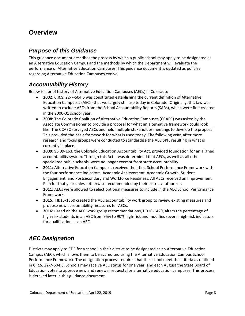## <span id="page-2-0"></span>**Overview**

#### *Purpose of this Guidance*

This guidance document describes the process by which a public school may apply to be designated as an Alternative Education Campus and the methods by which the Department will evaluate the performance of Alternative Education Campuses. This guidance document is updated as policies regarding Alternative Education Campuses evolve.

#### *Accountability History*

Below is a brief history of Alternative Education Campuses (AECs) in Colorado:

- **2002:** C.R.S. 22-7-604.5 was constituted establishing the current definition of Alternative Education Campuses (AECs) that we largely still use today in Colorado. Originally, this law was written to exclude AECs from the School Accountability Reports (SARs), which were first created in the 2000-01 school year.
- **2008:** The Colorado Coalition of Alternative Education Campuses (CCAEC) was asked by the Associate Commissioner to provide a proposal for what an alternative framework could look like. The CCAEC surveyed AECs and held multiple stakeholder meetings to develop the proposal. This provided the basic framework for what is used today. The following year, after more research and focus groups were conducted to standardize the AEC SPF, resulting in what is currently in place.
- **2009:** SB 09-163, the Colorado Education Accountability Act, provided foundation for an aligned accountability system. Through this Act it was determined that AECs, as well as all other specialized public schools, were no longer exempt from state accountability.
- **2011:** Alternative Education Campuses received their first School Performance Framework with the four performance indicators: Academic Achievement, Academic Growth, Student Engagement, and Postsecondary and Workforce Readiness. All AECs received an Improvement Plan for that year unless otherwise recommended by their district/authorizer.
- **2011:** AECs were allowed to select optional measures to include in the AEC School Performance Framework.
- **2015**: HB15-1350 created the AEC accountability work group to review existing measures and propose new accountability measures for AECs.
- **2016**: Based on the AEC work group recommendations, HB16-1429, alters the percentage of high-risk students in an AEC from 95% to 90% high-risk and modifies several high-risk indicators for qualification as an AEC.

## *AEC Designation*

Districts may apply to CDE for a school in their district to be designated as an Alternative Education Campus (AEC), which allows them to be accredited using the Alternative Education Campus School Performance Framework. The designation process requires that the school meet the criteria as outlined in C.R.S. 22-7-604.5. Schools may receive AEC status for one year, and each August the State Board of Education votes to approve new and renewal requests for alternative education campuses. This process is detailed later in this guidance document.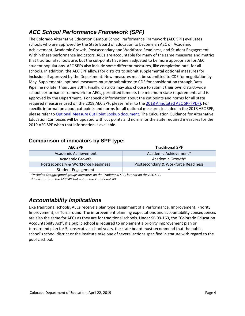## *AEC School Performance Framework (SPF)*

The Colorado Alternative Education Campus School Performance Framework (AEC SPF) evaluates schools who are approved by the State Board of Education to become an AEC on Academic Achievement, Academic Growth, Postsecondary and Workforce Readiness, and Student Engagement. Within these performance indicators, AECs are accountable for many of the same measures and metrics that traditional schools are, but the cut-points have been adjusted to be more appropriate for AEC student populations. AEC SPFs also include some different measures, like completion rate, for all schools. In addition, the AEC SPF allows for districts to submit supplemental optional measures for inclusion, if approved by the Department. New measures must be submitted to CDE for negotiation by May. Supplemental optional measures must be submitted to CDE for consideration through Data Pipeline no later than June 30th. Finally, districts may also choose to submit their own district-wide school performance framework for AECs, permitted it meets the minimum state requirements and is approved by the Department. For specific information about the cut points and norms for all state required measures used on the 2018 AEC SPF, please refer to the [2018 Annotated AEC SPF \(PDF\).](http://www.cde.state.co.us/accountability/2018-aec-spf_annotated-report) For specific information about cut points and norms for all optional measures included in the 2018 AEC SPF, please refer t[o Optional Measure Cut Point Lookup document.](http://www.cde.state.co.us/datapipeline/aec-cutpoint-lookup) The Calculation Guidance for Alternative Education Campuses will be updated with cut points and norms for the state required measures for the 2019 AEC SPF when that information is available.

#### **Comparison of indicators by SPF type:**

| <b>AEC SPF</b>                      | <b>Traditional SPF</b>              |
|-------------------------------------|-------------------------------------|
| Academic Achievement                | Academic Achievement*               |
| Academic Growth                     | Academic Growth*                    |
| Postsecondary & Workforce Readiness | Postsecondary & Workforce Readiness |
| <b>Student Engagement</b>           |                                     |
|                                     |                                     |

*\*Includes disaggregated groups measures on the Traditional SPF, but not on the AEC SPF.*

*^ Indicator is on the AEC SPF but not on the Traditional SPF*

#### *Accountability Implications*

Like traditional schools, AECs receive a plan type assignment of a Performance, Improvement, Priority Improvement, or Turnaround. The improvement planning expectations and accountability consequences are also the same for AECs as they are for traditional schools. Under SB 09-163, the "Colorado Education Accountability Act", if a public school is required to implement a priority improvement plan or turnaround plan for 5 consecutive school years, the state board must recommend that the public school's school district or the institute take one of several actions specified in statute with regard to the public school.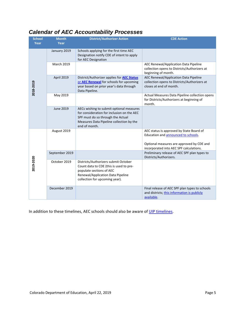## <span id="page-4-0"></span>*Calendar of AEC Accountability Processes*

| <b>School</b><br>Year | <b>Month</b><br>Year | <b>District/Authorizer Action</b>                                                                                                                                                        | <b>CDE Action</b>                                                                                                |
|-----------------------|----------------------|------------------------------------------------------------------------------------------------------------------------------------------------------------------------------------------|------------------------------------------------------------------------------------------------------------------|
| 2018-2019             | January 2019         | Schools applying for the first time AEC<br>Designation notify CDE of intent to apply<br>for AEC Designation                                                                              |                                                                                                                  |
|                       | <b>March 2019</b>    |                                                                                                                                                                                          | AEC Renewal/Application Data Pipeline<br>collection opens to Districts/Authorizers at<br>beginning of month.     |
|                       | April 2019           | District/Authorizer applies for <b>AEC Status</b><br>or AEC Renewal for schools for upcoming<br>year based on prior year's data through<br>Data Pipeline.                                | AEC Renewal/Application Data Pipeline<br>collection opens to Districts/Authorizers at<br>closes at end of month. |
|                       | May 2019             |                                                                                                                                                                                          | Actual Measures Data Pipeline collection opens<br>for Districts/Authorizers at beginning of<br>month.            |
|                       | <b>June 2019</b>     | AECs wishing to submit optional measures<br>for consideration for inclusion on the AEC<br>SPF must do so through the Actual<br>Measures Data Pipeline collection by the<br>end of month. |                                                                                                                  |
| 2019-2020             | August 2019          |                                                                                                                                                                                          | AEC status is approved by State Board of<br>Education and announced to schools.                                  |
|                       |                      |                                                                                                                                                                                          | Optional measures are approved by CDE and<br>incorporated into AEC SPF calculations.                             |
|                       | September 2019       |                                                                                                                                                                                          | Preliminary release of AEC SPF plan types to<br>Districts/Authorizers.                                           |
|                       | October 2019         | Districts/Authorizers submit October<br>Count data to CDE (this is used to pre-<br>populate sections of AEC<br>Renewal/Application Data Pipeline<br>collection for upcoming year).       |                                                                                                                  |
|                       | December 2019        |                                                                                                                                                                                          | Final release of AEC SPF plan types to schools<br>and districts; this information is publicly<br>available.      |

In addition to these timelines, AEC schools should also be aware of [UIP timelines.](http://www.cde.state.co.us/uip/uipoverview)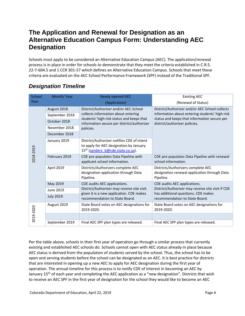## <span id="page-5-0"></span>**The Application and Renewal for Designation as an Alternative Education Campus Form: Understanding AEC Designation**

Schools must apply to be considered an Alternative Education Campus (AEC). The application/renewal process is in place in order for schools to demonstrate that they meet the criteria established in C.R.S. 22-7-604.5 and 1 CCR 301-57 which defines an Alternative Education Campus. Schools that meet these criteria are evaluated on the AEC School Performance Framework (SPF) instead of the Traditional SPF.

#### Existing AEC **School** Month/ Year Newly opened AEC Year (Application) (Renewal of Status) August 2018 District/Authorizer and/or AEC School District/Authorizer and/or AEC School collects collects information about entering information about entering students' high-risk September 2018 status and keeps that information secure per students' high-risk status and keeps that October 2018 information secure per district/authorizer district/authorizer policies. November 2018 policies. December 2018 January 2019 District/Authorizer notifies CDE of intent to apply for AEC designation by January 2018-2019 2018-2019 15<sup>th</sup> (sanders b@cde.state.co.us). February 2019 CDE pre-populates Data Pipeline with CDE pre-populates Data Pipeline with renewal applicant school information. school information. April 2019 Districts/Authorizers complete AEC Districts/Authorizers complete AEC designation application through Data designation renewal application through Data Pipeline. Pipeline. May 2019 CDE audits AEC applications. CDE audits AEC applications. District/Authorizer may receive site visit District/Authorizer may receive site visit if CDE June 2019 given it is a new application. CDE makes has additional questions. CDE makes July 2019 recommendation to State Board. recommendation to State Board. August 2019 State Board votes on AEC designations for State Board votes on AEC designations for 2019-2020 2019-2020 2019-2020. 2019-2020. September 2019 | Final AEC SPF plan types are released. | Final AEC SPF plan types are released.

## *Designation Timeline*

Per the table above, schools in their first year of operation go through a similar process that currently existing and established AEC schools do. Schools cannot open with AEC status already in place because AEC status is derived from the population of students served by the school. Thus, the school has to be open and serving students before the school can be designated as an AEC. It is best practice for districts that are interested in opening up a new AEC to apply for AEC designation during the first year of operation. The annual timeline for this process is to notify CDE of interest in becoming an AEC by January 15<sup>th</sup> of each year and completing the AEC application as a "new designation". Districts that wish to receive an AEC SPF in the first year of designation for the school they would like to become an AEC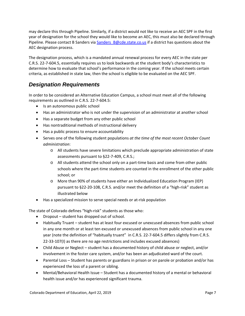may declare this through Pipeline. Similarly, if a district would not like to receive an AEC SPF in the first year of designation for the school they would like to become an AEC, this must also be declared through Pipeline. Please contact B Sanders via Sanders B@cde.state.co.us if a district has questions about the AEC designation process.

The designation process, which is a mandated annual renewal process for every AEC in the state per C.R.S. 22-7-604.5, essentially requires us to look backwards at the student body's characteristics to determine how to evaluate that school's performance in the coming year. If the school meets certain criteria, as established in state law, then the school is eligible to be evaluated on the AEC SPF.

#### *Designation Requirements*

In order to be considered an Alternative Education Campus, a school must meet all of the following requirements as outlined in C.R.S. 22-7-604.5:

- Is an autonomous public school
- Has an administrator who is not under the supervision of an administrator at another school
- Has a separate budget from any other public school
- Has nontraditional methods of instructional delivery
- Has a public process to ensure accountability
- Serves one of the following student populations *at the time of the most recent October Count administration*:
	- o All students have severe limitations which preclude appropriate administration of state assessments pursuant to §22-7-409, C.R.S.;
	- o All students attend the school only on a part-time basis and come from other public schools where the part-time students are counted in the enrollment of the other public school; or
	- o More than 90% of students have either an Individualized Education Program (IEP) pursuant to §22-20-108, C.R.S. and/or meet the definition of a "high-risk" student as illustrated below
- Has a specialized mission to serve special needs or at-risk population

The state of Colorado defines "high-risk" students as those who:

- Dropout student has dropped out of school.
- Habitually Truant student has at least four excused or unexcused absences from public school in any one month or at least ten excused or unexcused absences from public school in any one year (note the definition of "habitually truant" in C.R.S. 22-7-604.5 differs slightly from C.R.S. 22-33-107(I) as there are no age restrictions and includes excused absences)
- Child Abuse or Neglect student has a documented history of child abuse or neglect, and/or involvement in the foster care system, and/or has been an adjudicated ward of the court.
- Parental Loss Student has parents or guardians in prison or on parole or probation and/or has experienced the loss of a parent or sibling.
- Mental/Behavioral Health Issue Student has a documented history of a mental or behavioral health issue and/or has experienced significant trauma.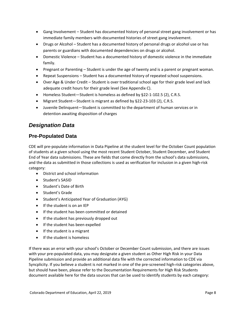- Gang Involvement Student has documented history of personal street gang involvement or has immediate family members with documented histories of street gang involvement.
- Drugs or Alcohol Student has a documented history of personal drugs or alcohol use or has parents or guardians with documented dependencies on drugs or alcohol.
- Domestic Violence Student has a documented history of domestic violence in the immediate family.
- Pregnant or Parenting Student is under the age of twenty and is a parent or pregnant woman.
- Repeat Suspensions Student has a documented history of repeated school suspensions.
- Over Age & Under Credit Student is over traditional school age for their grade level and lack adequate credit hours for their grade level (See Appendix C).
- Homeless Student—Student is homeless as defined by §22-1-102.5 (2), C.R.S.
- Migrant Student—Student is migrant as defined by §22-23-103 (2), C.R.S.
- Juvenile Delinquent—Student is committed to the department of human services or in detention awaiting disposition of charges

#### *Designation Data*

#### **Pre-Populated Data**

CDE will pre-populate information in Data Pipeline at the student level for the October Count population of students at a given school using the most recent Student October, Student December, and Student End of Year data submissions. These are fields that come directly from the school's data submissions, and the data as submitted in those collections is used as verification for inclusion in a given high-risk category:

- District and school information
- Student's SASID
- Student's Date of Birth
- Student's Grade
- Student's Anticipated Year of Graduation (AYG)
- If the student is on an IEP
- If the student has been committed or detained
- If the student has previously dropped out
- If the student has been expelled
- If the student is a migrant
- If the student is homeless

If there was an error with your school's October or December Count submission, and there are issues with your pre-populated data, you may designate a given student as Other High Risk in your Data Pipeline submission and provide an additional data file with the corrected information to CDE via Syncplicity. If you believe a student is not marked in one of the pre-screened high-risk categories above, but should have been, please refer to the Documentation Requirements for High Risk Students document available here for the data sources that can be used to identify students by each category: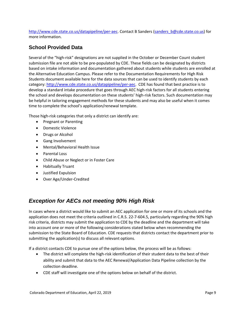[http://www.cde.state.co.us/datapipeline/per-aec.](http://www.cde.state.co.us/datapipeline/per-aec) Contact B Sanders (sanders b@cde.state.co.us) for more information.

#### **School Provided Data**

Several of the "high-risk" designations are not supplied in the October or December Count student submission file are not able to be pre-populated by CDE. These fields can be designated by districts based on intake information and documentation gathered about students while students are enrolled at the Alternative Education Campus. Please refer to the Documentation Requirements for High Risk Students document available here for the data sources that can be used to identify students by each category: [http://www.cde.state.co.us/datapipeline/per-aec.](http://www.cde.state.co.us/datapipeline/per-aec) CDE has found that best practice is to develop a standard intake procedure that goes through AEC high-risk factors for all students entering the school and develops documentation on these students' high-risk factors. Such documentation may be helpful in tailoring engagement methods for these students and may also be useful when it comes time to complete the school's application/renewal template.

Those high-risk categories that only a district can identify are:

- Pregnant or Parenting
- Domestic Violence
- Drugs or Alcohol
- Gang Involvement
- Mental/Behavioral Health Issue
- Parental Loss
- Child Abuse or Neglect or in Foster Care
- Habitually Truant
- Justified Expulsion
- Over Age/Under-Credited

#### *Exception for AECs not meeting 90% High Risk*

In cases where a district would like to submit an AEC application for one or more of its schools and the application does not meet the criteria outlined in C.R.S. 22-7-604.5, particularly regarding the 90% high risk criteria, districts may submit the application to CDE by the deadline and the department will take into account one or more of the following considerations stated below when recommending the submission to the State Board of Education. CDE requests that districts contact the department prior to submitting the application(s) to discuss all relevant options.

If a district contacts CDE to pursue one of the options below, the process will be as follows:

- The district will complete the high-risk identification of their student data to the best of their ability and submit that data to the AEC Renewal/Application Data Pipeline collection by the collection deadline.
- CDE staff will investigate one of the options below on behalf of the district.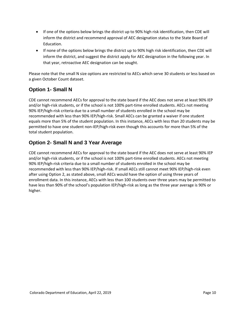- If one of the options below brings the district up to 90% high risk identification, then CDE will inform the district and recommend approval of AEC designation status to the State Board of Education.
- If none of the options below brings the district up to 90% high risk identification, then CDE will inform the district, and suggest the district apply for AEC designation in the following year. In that year, retroactive AEC designation can be sought.

Please note that the small N size options are restricted to AECs which serve 30 students or less based on a given October Count dataset.

#### **Option 1- Small N**

CDE cannot recommend AECs for approval to the state board if the AEC does not serve at least 90% IEP and/or high-risk students, or if the school is not 100% part-time enrolled students. AECs not meeting 90% IEP/high-risk criteria due to a small number of students enrolled in the school may be recommended with less than 90% IEP/high-risk. Small AECs can be granted a waiver if one student equals more than 5% of the student population. In this instance, AECs with less than 20 students may be permitted to have one student non-IEP/high-risk even though this accounts for more than 5% of the total student population.

#### **Option 2- Small N and 3 Year Average**

<span id="page-9-0"></span>CDE cannot recommend AECs for approval to the state board if the AEC does not serve at least 90% IEP and/or high-risk students, or if the school is not 100% part-time enrolled students. AECs not meeting 90% IEP/high-risk criteria due to a small number of students enrolled in the school may be recommended with less than 90% IEP/high-risk. If small AECs still cannot meet 90% IEP/high-risk even after using Option 2, as stated above, small AECs would have the option of using three years of enrollment data. In this instance, AECs with less than 100 students over three years may be permitted to have less than 90% of the school's population IEP/high-risk as long as the three year average is 90% or higher.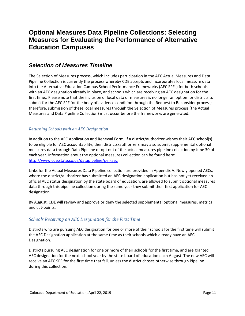## **Optional Measures Data Pipeline Collections: Selecting Measures for Evaluating the Performance of Alternative Education Campuses**

#### *Selection of Measures Timeline*

The Selection of Measures process, which includes participation in the AEC Actual Measures and Data Pipeline Collection is currently the process whereby CDE accepts and incorporates local measure data into the Alternative Education Campus School Performance Frameworks (AEC SPFs) for both schools with an AEC designation already in place, and schools which are receiving an AEC designation for the first time,. Please note that the inclusion of local data or measures is no longer an option for districts to submit for the AEC SPF for the body of evidence condition through the Request to Reconsider process; therefore, submission of these local measures through the Selection of Measures process (the Actual Measures and Data Pipeline Collection) must occur before the frameworks are generated.

#### *Returning Schools with an AEC Designation*

In addition to the AEC Application and Renewal Form, if a district/authorizer wishes their AEC school(s) to be eligible for AEC accountability, then districts/authorizers may also submit supplemental optional measures data through Data Pipeline or opt out of the actual measures pipeline collection by June 30 of each year. Information about the optional measures collection can be found here: <http://www.cde.state.co.us/datapipeline/per-aec>

Links for the Actual Measures Data Pipeline collection are provided in Appendix A. Newly opened AECs, where the district/authorizer has submitted an AEC designation application but has not yet received an official AEC status designation by the state board of education, are allowed to submit optional measures data through this pipeline collection during the same year they submit their first application for AEC designation.

By August, CDE will review and approve or deny the selected supplemental optional measures, metrics and cut-points.

#### *Schools Receiving an AEC Designation for the First Time*

Districts who are pursuing AEC designation for one or more of their schools for the first time will submit the AEC Designation application at the same time as their schools which already have an AEC Designation.

Districts pursuing AEC designation for one or more of their schools for the first time, and are granted AEC designation for the next school year by the state board of education each August. The new AEC will receive an AEC SPF for the first time that fall, unless the district choses otherwise through Pipeline during this collection.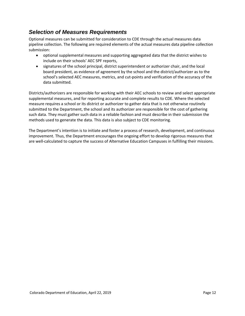#### *Selection of Measures Requirements*

Optional measures can be submitted for consideration to CDE through the actual measures data pipeline collection. The following are required elements of the actual measures data pipeline collection submission:

- optional supplemental measures and supporting aggregated data that the district wishes to include on their schools' AEC SPF reports,
- signatures of the school principal, district superintendent or authorizer chair, and the local board president, as evidence of agreement by the school and the district/authorizer as to the school's selected AEC measures, metrics, and cut-points and verification of the accuracy of the data submitted.

Districts/authorizers are responsible for working with their AEC schools to review and select appropriate supplemental measures, and for reporting accurate and complete results to CDE. Where the selected measure requires a school or its district or authorizer to gather data that is not otherwise routinely submitted to the Department, the school and its authorizer are responsible for the cost of gathering such data. They must gather such data in a reliable fashion and must describe in their submission the methods used to generate the data. This data is also subject to CDE monitoring.

The Department's intention is to initiate and foster a process of research, development, and continuous improvement. Thus, the Department encourages the ongoing effort to develop rigorous measures that are well-calculated to capture the success of Alternative Education Campuses in fulfilling their missions.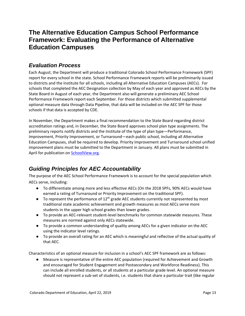## <span id="page-12-0"></span>**The Alternative Education Campus School Performance Framework: Evaluating the Performance of Alternative Education Campuses**

#### *Evaluation Process*

Each August, the Department will produce a traditional Colorado School Performance Framework (SPF) report for every school in the state. School Performance Framework reports will be preliminarily issued to districts and the Institute for all schools, including all Alternative Education Campuses (AECs). For schools that completed the AEC Designation collection by May of each year and approved as AECs by the State Board in August of each year, the Department also will generate a preliminary AEC School Performance Framework report each September. For those districts which submitted supplemental optional measure data through Data Pipeline, that data will be included on the AEC SPF for those schools if that data is accepted by CDE.

In November, the Department makes a final recommendation to the State Board regarding district accreditation ratings and, in December, the State Board approves school plan type assignments. The preliminary reports notify districts and the Institute of the type of plan type—Performance, Improvement, Priority Improvement, or Turnaround—each public school, including all Alternative Education Campuses, shall be required to develop. Priority Improvement and Turnaround school unified improvement plans must be submitted to the Department in January. All plans must be submitted in April for publication o[n SchoolView.org.](http://www.schoolview.org/)

## *Guiding Principles for AEC Accountability*

The purpose of the AEC School Performance Framework is to account for the special population which AECs serve, including:

- To differentiate among more and less effective AECs (On the 2018 SPFs, 90% AECs would have earned a rating of Turnaround or Priority Improvement on the traditional SPF).
- $\bullet$  To represent the performance of 12<sup>th</sup> grade AEC students currently not represented by most traditional state academic achievement and growth measures as most AECs serve more students in the upper high school grades than lower grades.
- To provide an AEC-relevant student-level benchmarks for common statewide measures. These measures are normed against only AECs statewide.
- To provide a common understanding of quality among AECs for a given indicator on the AEC using the indicator level ratings.
- To provide an overall rating for an AEC which is meaningful and reflective of the actual quality of that AEC.

Characteristics of an optional measure for inclusion in a school's AEC SPF framework are as follows:

● Measure is representative of the entire AEC population (required for Achievement and Growth and encouraged for Student Engagement and Postsecondary and Workforce Readiness). This can include all enrolled students, or all students at a particular grade level. An optional measure should not represent a sub-set of students, i.e. students that share a particular trait (like regular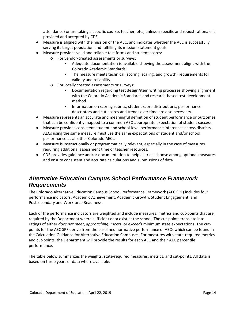attendance) or are taking a specific course, teacher, etc., unless a specific and robust rationale is provided and accepted by CDE.

- Measure is aligned with the mission of the AEC, and indicates whether the AEC is successfully serving its target population and fulfilling its mission-statement goals.
- Measure provides valid and reliable test forms and student scores:
	- o For vendor-created assessments or surveys:
		- Adequate documentation is available showing the assessment aligns with the Colorado Academic Standards.
		- The measure meets technical (scoring, scaling, and growth) requirements for validity and reliability.
	- o For locally created assessments or surveys:
		- Documentation regarding test design/item writing processes showing alignment with the Colorado Academic Standards and research-based test development method.
		- Information on scoring rubrics, student score distributions, performance descriptors and cut-scores and trends over time are also necessary.
- Measure represents an accurate and meaningful definition of student performance or outcomes that can be confidently mapped to a common AEC-appropriate expectation of student success.
- Measure provides consistent student and school-level performance inferences across districts. AECs using the same measure must use the same expectations of student and/or school performance as all other Colorado AECs.
- Measure is instructionally or programmatically relevant, especially in the case of measures requiring additional assessment time or teacher resources.
- CDE provides guidance and/or documentation to help districts choose among optional measures and ensure consistent and accurate calculations and submissions of data.

#### *Alternative Education Campus School Performance Framework Requirements*

The Colorado Alternative Education Campus School Performance Framework (AEC SPF) includes four performance indicators: Academic Achievement, Academic Growth, Student Engagement, and Postsecondary and Workforce Readiness.

Each of the performance indicators are weighted and include measures, metrics and cut-points that are required by the Department where sufficient data exist at the school. The cut-points translate into ratings of either *does not meet*, *approaching*, *meets*, or *exceeds* minimum state expectations. The cutpoints for the AEC SPF derive from the baselined normative performance of AECs which can be found in the Calculation Guidance for Alternative Education Campuses. For measures with state-required metrics and cut-points, the Department will provide the results for each AEC and their AEC percentile performance.

The table below summarizes the weights, state-required measures, metrics, and cut-points. All data is based on three years of data where available.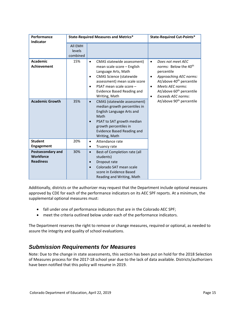| Performance<br><b>Indicator</b>                           | <b>State-Required Measures and Metrics*</b> |                                                                                                                                                                                                                                                                           | <b>State-Required Cut-Points*</b>                                                                                                                                                                                                                                             |
|-----------------------------------------------------------|---------------------------------------------|---------------------------------------------------------------------------------------------------------------------------------------------------------------------------------------------------------------------------------------------------------------------------|-------------------------------------------------------------------------------------------------------------------------------------------------------------------------------------------------------------------------------------------------------------------------------|
|                                                           | <b>All EMH</b><br>levels<br>combined        |                                                                                                                                                                                                                                                                           |                                                                                                                                                                                                                                                                               |
| <b>Academic</b><br><b>Achievement</b>                     | 15%                                         | CMAS statewide assessment)<br>$\bullet$<br>mean scale score - English<br>Language Arts, Math<br><b>CMAS Science (statewide</b><br>$\bullet$<br>assessment) mean scale score<br>PSAT mean scale score -<br>$\bullet$<br><b>Evidence Based Reading and</b><br>Writing, Math | Does not meet AEC<br>$\bullet$<br>norms: Below the 40 <sup>th</sup><br>percentile<br>Approaching AEC norms:<br>At/above 40 <sup>th</sup> percentile<br><b>Meets AEC norms:</b><br>$\bullet$<br>At/above 60 <sup>th</sup> percentile<br><b>Exceeds AEC norms:</b><br>$\bullet$ |
| <b>Academic Growth</b>                                    | 35%                                         | CMAS (statewide assessment)<br>$\bullet$<br>median growth percentiles in<br>English Language Arts and<br>Math<br>PSAT to SAT growth median<br>$\bullet$<br>growth percentiles in<br><b>Evidence Based Reading and</b><br>Writing, Math                                    | At/above 90 <sup>th</sup> percentile                                                                                                                                                                                                                                          |
| <b>Student</b><br><b>Engagement</b>                       | 20%                                         | Attendance rate<br>$\bullet$<br>Truancy rate<br>٠                                                                                                                                                                                                                         |                                                                                                                                                                                                                                                                               |
| Postsecondary and<br><b>Workforce</b><br><b>Readiness</b> | 30%                                         | Best-of Completion rate (all<br>$\bullet$<br>students)<br>Dropout rate<br>$\bullet$<br>Colorado SAT mean scale<br>$\bullet$<br>score in Evidence Based<br>Reading and Writing, Math                                                                                       |                                                                                                                                                                                                                                                                               |

Additionally, districts or the authorizer may request that the Department include optional measures approved by CDE for each of the performance indicators on its AEC SPF reports. At a minimum, the supplemental optional measures must:

- fall under one of performance indicators that are in the Colorado AEC SPF;
- meet the criteria outlined below under each of the performance indicators.

The Department reserves the right to remove or change measures, required or optional, as needed to assure the integrity and quality of school evaluations.

#### *Submission Requirements for Measures*

Note: Due to the change in state assessments, this section has been put on hold for the 2018 Selection of Measures process for the 2017-18 school year due to the lack of data available. Districts/authorizers have been notified that this policy will resume in 2019.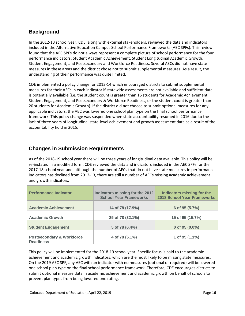#### **Background**

In the 2012-13 school year, CDE, along with external stakeholders, reviewed the data and indicators included in the Alternative Education Campus School Performance Frameworks (AEC SPFs). This review found that the AEC SPFs do not always represent a complete picture of school performance for the four performance indicators: Student Academic Achievement, Student Longitudinal Academic Growth, Student Engagement, and Postsecondary and Workforce Readiness. Several AECs did not have state measures in these areas and the district chose not to submit supplemental measures. As a result, the understanding of their performance was quite limited.

CDE implemented a policy change for 2013-14 which encouraged districts to submit supplemental measures for their AECs in each indicator if statewide assessments are not available and sufficient data is potentially available (i.e. the student count is greater than 16 students for Academic Achievement, Student Engagement, and Postsecondary & Workforce Readiness, or the student count is greater than 20 students for Academic Growth). If the district did not choose to submit optional measures for any applicable indicators, the AEC was lowered one school plan type on the final school performance framework. This policy change was suspended when state accountability resumed in 2016 due to the lack of three years of longitudinal state-level achievement and growth assessment data as a result of the accountability hold in 2015.

#### **Changes in Submission Requirements**

As of the 2018-19 school year there will be three years of longitudinal data available. This policy will be re-instated in a modified form. CDE reviewed the data and indicators included in the AEC SPFs for the 2017-18 school year and, although the number of AECs that do not have state measures in performance indicators has declined from 2012-13, there are still a number of AECs missing academic achievement and growth indicators.

| <b>Performance Indicator</b>                             | Indicators missing for the 2012<br><b>School Year Frameworks</b> | <b>Indicators missing for the</b><br><b>2018 School Year Frameworks</b> |
|----------------------------------------------------------|------------------------------------------------------------------|-------------------------------------------------------------------------|
| <b>Academic Achievement</b>                              | 14 of 78 (17.9%)                                                 | 6 of 95 (5.7%)                                                          |
|                                                          |                                                                  |                                                                         |
| <b>Academic Growth</b>                                   | 25 of 78 (32.1%)                                                 | 15 of 95 (15.7%)                                                        |
| <b>Student Engagement</b>                                | 5 of 78 (6.4%)                                                   | 0 of 95 (0.0%)                                                          |
| <b>Postsecondary &amp; Workforce</b><br><b>Readiness</b> | 4 of 78 (5.1%)                                                   | 1 of 95 (1.1%)                                                          |

This policy will be implemented for the 2018-19 school year. Specific focus is paid to the academic achievement and academic growth indicators, which are the most likely to be missing state measures. On the 2019 AEC SPF, any AEC with an indicator with no measures (optional or required) will be lowered one school plan type on the final school performance framework. Therefore, CDE encourages districts to submit optional measure data in academic achievement and academic growth on behalf of schools to prevent plan types from being lowered one rating.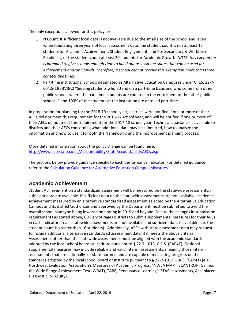The only exceptions allowed for this policy are:

- 1. N Count: If sufficient local data is not available due to the small size of the school and, even when tabulating three years of local assessment data, the student count is not at least 16 students for Academic Achievement, Student Engagement, and Postsecondary & Workforce Readiness, or the student count at least 20 students for Academic Growth. *NOTE: this exemption is intended to give schools enough time to build out assessment suites that can be used for Achievement and/or Growth. Therefore, a school cannot receive this exemption more than three consecutive times.*
- 2. Part-time institutions: Schools designated as Alternative Education Campuses under C.R.S. 22-7- 604.5(1)(a)(VI)(C) "Serving students who attend on a part-time basis and who come from other public schools where the part-time students are counted in the enrollment of the other public school…" and 100% of the students at the institution are enrolled part-time.

In preparation for planning for the 2018-19 school year, districts were notified if one or more of their AECs did not meet this requirement for the 2016-17 school year, and will be notified if one or more of their AECs do not meet this requirement for the 2017-18 school year. Technical assistance is available to districts and their AECs concerning what additional data may be submitted, how to analyze the information and how to use it for both the frameworks and the improvement planning process.

More detailed information about the policy change can be found here: [http://www.cde.state.co.us/Accountability/StateAccountabilityAECs.asp.](http://www.cde.state.co.us/Accountability/StateAccountabilityAECs.asp)

The sections below provide guidance specific to each performance indicator. For detailed guidance, refer to the [Calculation Guidance for Alternative Education Campus Measures.](http://www.cde.state.co.us/accountability/calculation_guidance_for_aec_measures_4_24_17)

#### **Academic Achievement**

Student Achievement on a standardized assessment will be measured on the statewide assessments, if sufficient data are available. If sufficient data on the statewide assessments are not available, academic achievement measured by an alternative standardized assessment selected by the Alternative Education Campus and its district/authorizer and approved by the Department must be submitted to avoid the overall school plan type being lowered one rating in 2019 and beyond. Due to the changes in submission requirements as stated above, CDE encourages districts to submit supplemental measures for their AECs in each indicator area if statewide assessments are not available and sufficient data is available (i.e. the student count is greater than 16 students). Additionally, AECs with state assessment data may request to include additional alternative standardized assessment data, if it meets the above criteria. Assessments other than the statewide assessments must be aligned with the academic standards adopted by the local school board or Institute pursuant to § 22-7-1013, C.R.S. (CAP4K). Optional supplemental measures may include reliable and valid interim assessments, meaning those interim assessments that are nationally- or state-normed and are capable of measuring progress on the standards adopted by the local school board or Institute pursuant to § 22-7-1013, C.R.S. (CAP4K) (e.g., Northwest Evaluation Association's Measures of Academic Progress, "NWEA MAP", SCANTRON, Galileo, the Wide Range Achievement Test (WRAT), TABE, Renaissance Learning's STAR assessments, Accuplacer Diagnostic, or Acuity).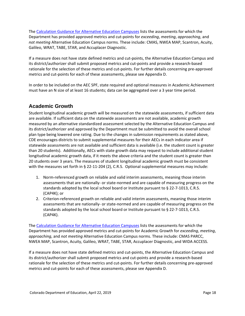The [Calculation Guidance for Alternative Education Campuses](http://www.cde.state.co.us/accountability/calculationguidanceforaecmeasures7_26_18) lists the assessments for which the Department has provided approved metrics and cut-points for *exceeding*, *meeting*, *approaching*, and *not meeting* Alternative Education Campus norms. These include: CMAS, NWEA MAP, Scantron, Acuity, Galileo, WRAT, TABE, STAR, and Accuplacer Diagnostic.

If a measure does not have state defined metrics and cut-points, the Alternative Education Campus and its district/authorizer shall submit proposed metrics and cut-points and provide a research-based rationale for the selection of these metrics and cut-points. For further details concerning pre-approved metrics and cut-points for each of these assessments, please see Appendix D.

In order to be included on the AEC SPF, state required and optional measures in Academic Achievement must have an N size of at least 16 students; data can be aggregated over a 3 year time period.

#### **Academic Growth**

Student longitudinal academic growth will be measured on the statewide assessments, if sufficient data are available. If sufficient data on the statewide assessments are not available, academic growth measured by an alternative standardized assessment selected by the Alternative Education Campus and its district/authorizer and approved by the Department must be submitted to avoid the overall school plan type being lowered one rating. Due to the changes in submission requirements as stated above, CDE encourages districts to submit supplemental measures for their AECs in each indicator area if statewide assessments are not available and sufficient data is available (i.e. the student count is greater than 20 students). Additionally, AECs with state growth data may request to include additional student longitudinal academic growth data, if it meets the above criteria and the student count is greater than 20 students over 3 years. The measures of student longitudinal academic growth must be consistent with the measures set forth in § 22-11-204 (2), C.R.S. Optional supplemental measures may include:

- 1. Norm-referenced growth on reliable and valid interim assessments, meaning those interim assessments that are nationally- or state-normed and are capable of measuring progress on the standards adopted by the local school board or Institute pursuant to § 22-7-1013, C.R.S. (CAP4K); or
- 2. Criterion-referenced growth on reliable and valid interim assessments, meaning those interim assessments that are nationally- or state-normed and are capable of measuring progress on the standards adopted by the local school board or Institute pursuant to § 22-7-1013, C.R.S. (CAP4K).

The [Calculation Guidance for Alternative Education Campuses](http://www.cde.state.co.us/accountability/calculationguidanceforaecmeasures7_26_18) lists the assessments for which the Department has provided approved metrics and cut-points for Academic Growth for *exceeding*, *meeting*, *approaching*, and *not meeting* Alternative Education Campus norms. These include: CMAS PARCC, NWEA MAP, Scantron, Acuity, Galileo, WRAT, TABE, STAR, Accuplacer Diagnostic, and WIDA ACCESS.

If a measure does not have state defined metrics and cut-points, the Alternative Education Campus and its district/authorizer shall submit proposed metrics and cut-points and provide a research-based rationale for the selection of these metrics and cut-points. For further details concerning pre-approved metrics and cut-points for each of these assessments, please see Appendix D.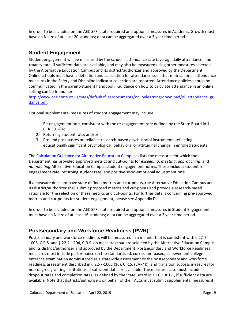In order to be included on the AEC SPF, state required and optional measures in Academic Growth must have an N size of at least 20 students; data can be aggregated over a 3 year time period.

#### **Student Engagement**

Student engagement will be measured by the school's attendance rate (average daily attendance) and truancy rate, if sufficient data are available, and may also be measured using other measures selected by the Alternative Education Campus and its district/authorizer and approved by the Department. Online schools must have a definition and calculation for attendance such that metrics for all attendance measures in the Safety and Discipline Indicator collection are reported. Attendance policies should be communicated in the parent/student handbook. Guidance on how to calculate attendance in an online setting can be found here:

[http://www.cde.state.co.us/sites/default/files/documents/onlinelearning/download/ol\\_attendance\\_gui](http://www.cde.state.co.us/sites/default/files/documents/onlinelearning/download/ol_attendance_guidance.pdf) [dance.pdf.](http://www.cde.state.co.us/sites/default/files/documents/onlinelearning/download/ol_attendance_guidance.pdf)

Optional supplemental measures of student engagement may include:

- 1. Re-engagement rate, consistent with the re-engagement rate defined by the State Board in 1 CCR 301-84;
- 2. Returning student rate; and/or
- 3. Pre-and post-scores on reliable, research-based psychosocial instruments reflecting educationally significant psychological, behavioral or attitudinal change in enrolled students.

The [Calculation Guidance for Alternative Education Campuses](http://www.cde.state.co.us/accountability/calculation_guidance_for_aec_measures_4_24_17) lists the measures for which the Department has provided approved metrics and cut-points for *exceeding*, *meeting*, *approaching*, and *not meeting* Alternative Education Campus student engagement norms. These include: student reengagement rate, returning student rate, and positive socio-emotional adjustment rate.

If a measure does not have state defined metrics and cut-points, the Alternative Education Campus and its district/authorizer shall submit proposed metrics and cut-points and provide a research-based rationale for the selection of these metrics and cut-points. For further details concerning pre-approved metrics and cut-points for student engagement, please see Appendix D.

In order to be included on the AEC SPF, state required and optional measures in Student Engagement must have an N size of at least 16 students; data can be aggregated over a 3 year time period.

#### **Postsecondary and Workforce Readiness (PWR)**

Postsecondary and workforce readiness will be measured in a manner that is consistent with § 22-7- 1008, C.R.S. and § 22-11-204, C.R.S. on measures that are selected by the Alternative Education Campus and its district/authorizer and approved by the Department. Postsecondary and Workforce Readiness measures must include performance on the standardized, curriculum-based, achievement college entrance examination administered as a statewide assessment or the postsecondary and workforce readiness assessment described in § 22-7-1003 (16), C.R.S. (CAP4K), and transition success measures for non-degree granting institutions, if sufficient data are available. The measures also must include dropout rates and completion rates, as defined by the State Board in 1 CCR 301-1, if sufficient data are available. Note that districts/authorizers on behalf of their AECs must submit supplemental measures if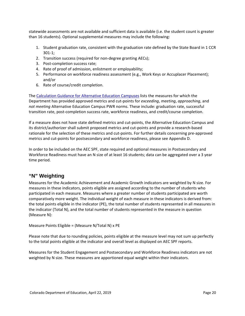statewide assessments are not available and sufficient data is available (i.e. the student count is greater than 16 students). Optional supplemental measures may include the following:

- 1. Student graduation rate, consistent with the graduation rate defined by the State Board in 1 CCR 301-1;
- 2. Transition success (required for non-degree granting AECs);
- 3. Post-completion success rate;
- 4. Rate of proof of admission, enlistment or employability;
- 5. Performance on workforce readiness assessment (e.g., Work Keys or Accuplacer Placement); and/or
- 6. Rate of course/credit completion.

The [Calculation Guidance for Alternative Education Campuses](http://www.cde.state.co.us/accountability/calculationguidanceforaecmeasures7_26_18) lists the measures for which the Department has provided approved metrics and cut-points for *exceeding*, *meeting*, *approaching*, and *not meeting* Alternative Education Campus PWR norms. These include: graduation rate, successful transition rate, post-completion success rate, workforce readiness, and credit/course completion.

If a measure does not have state defined metrics and cut-points, the Alternative Education Campus and its district/authorizer shall submit proposed metrics and cut-points and provide a research-based rationale for the selection of these metrics and cut-points. For further details concerning pre-approved metrics and cut-points for postsecondary and workforce readiness, please see Appendix D.

In order to be included on the AEC SPF, state required and optional measures in Postsecondary and Workforce Readiness must have an N size of at least 16 students; data can be aggregated over a 3 year time period.

#### **"N" Weighting**

Measures for the Academic Achievement and Academic Growth indicators are weighted by N size. For measures in these indicators, points eligible are assigned according to the number of students who participated in each measure. Measures where a greater number of students participated are worth comparatively more weight. The individual weight of each measure in these indicators is derived from: the total points eligible in the indicator (PE), the total number of students represented in all measures in the indicator (Total N), and the total number of students represented in the measure in question (Measure N):

Measure Points Eligible = (Measure N/Total N) x PE

Please note that due to rounding policies, points eligible at the measure level may not sum up perfectly to the total points eligible at the indicator and overall level as displayed on AEC SPF reports.

Measures for the Student Engagement and Postsecondary and Workforce Readiness indicators are not weighted by N size. These measures are apportioned equal weight within their indicators.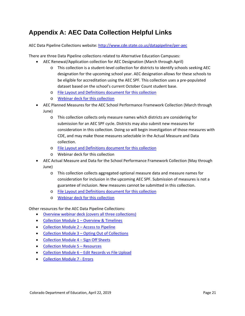## <span id="page-20-0"></span>**Appendix A: AEC Data Collection Helpful Links**

AEC Data Pipeline Collections website: <http://www.cde.state.co.us/datapipeline/per-aec>

There are three Data Pipeline collections related to Alternative Education Campuses:

- AEC Renewal/Application collection for AEC Designation (March through April)
	- o This collection is a student-level collection for districts to identify schools seeking AEC designation for the upcoming school year. AEC designation allows for these schools to be eligible for accreditation using the AEC SPF. This collection uses a pre-populated dataset based on the school's current October Count student base.
	- o [File Layout and Definitions document for this collection](http://www.cde.state.co.us/datapipeline/aec-application-renewal-filelayout-1819)
	- o [Webinar deck for this collection](http://www.cde.state.co.us/datapipeline/aec-webinar-02152018)
- AEC Planned Measures for the AEC School Performance Framework Collection (March through June)
	- o This collection collects only measure names which districts are considering for submission for an AEC SPF cycle. Districts may also submit new measures for consideration in this collection. Doing so will begin investigation of those measures with CDE, and may make those measures selectable in the Actual Measure and Data collection.
	- o [File Layout and Definitions document for this collection](http://www.cde.state.co.us/datapipeline/aec-planned-measures-filelayout)
	- o Webinar deck for this collection
- AEC Actual Measure and Data for the School Performance Framework Collection (May through June)
	- o This collection collects aggregated optional measure data and measure names for consideration for inclusion in the upcoming AEC SPF. Submission of measures is not a guarantee of inclusion. New measures cannot be submitted in this collection.
	- o [File Layout and Definitions document for this collection](http://www.cde.state.co.us/datapipeline/aec-actual-measures-layout)
	- o [Webinar deck for this collection](http://www.cde.state.co.us/datapipeline/aec-webinar-4122018)

Other resources for the AEC Data Pipeline Collections:

- [Overview webinar deck \(covers all three collections\)](http://www.cde.state.co.us/datapipeline/aec-webinar-01182018)
- [Collection Module 1 –](https://enetlearning.adobeconnect.com/pi1md74k0rhw) Overview & Timelines
- [Collection Module 2 –](https://enetlearning.adobeconnect.com/pds83bvi0bka) Access to Pipeline
- Collection Module 3 [Opting Out of Collections](https://enetlearning.adobeconnect.com/p4akh8y057nt)
- [Collection Module 4 –](https://enetlearning.adobeconnect.com/p7lcn4j7j302) Sign Off Sheets
- [Collection Module 5 –](https://enetlearning.adobeconnect.com/paii0l5a6d2h) Resources
- Collection Module 6 [Edit Records vs File Upload](https://enetlearning.adobeconnect.com/pjxifyl076br)
- [Collection Module 7 -](https://enetlearning.adobeconnect.com/pqbkrtgu2l70) Errors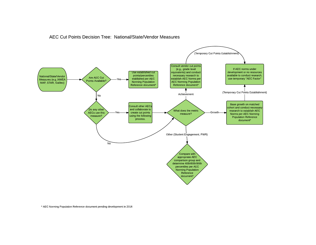#### AEC Cut Points Decision Tree: National/State/Vendor Measures



\* AEC Norming Population Reference document pending development in 2016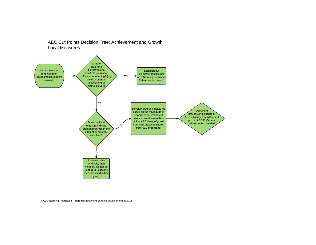#### AEC Cut Points Decision Tree: Achievement and Growth **Local Measures**



\* AEC Norming Population Reference document pending development in 2016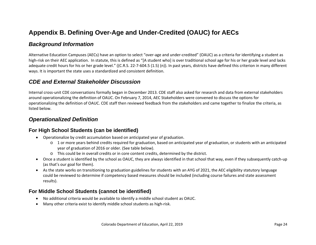## **Appendix B. Defining Over-Age and Under-Credited (OAUC) for AECs**

#### *Background Information*

Alternative Education Campuses (AECs) have an option to select "over-age and under-credited" (OAUC) as a criteria for identifying a student as high-risk on their AEC application. In statute, this is defined as "[A student who] is over traditional school age for his or her grade level and lacks adequate credit hours for his or her grade level." ((C.R.S. 22-7-604.5 (1.5) (n)). In past years, districts have defined this criterion in many different ways. It is important the state uses a standardized and consistent definition.

#### *CDE and External Stakeholder Discussion*

<span id="page-23-0"></span>Internal cross-unit CDE conversations formally began in December 2013. CDE staff also asked for research and data from external stakeholders around operationalizing the definition of OAUC. On February 7, 2014, AEC Stakeholders were convened to discuss the options for operationalizing the definition of OAUC. CDE staff then reviewed feedback from the stakeholders and came together to finalize the criteria, as listed below.

#### *Operationalized Definition*

#### **For High School Students (can be identified)**

- Operationalize by credit accumulation based on anticipated year of graduation.
	- o 1 or more years behind credits required for graduation, based on anticipated year of graduation, or students with an anticipated year of graduation of 2016 or older. (See table below).
	- o This could be in overall credits or in core content credits, determined by the district.
- Once a student is identified by the school as OAUC, they are always identified in that school that way, even if they subsequently catch-up (as that's our goal for them).
- As the state works on transitioning to graduation guidelines for students with an AYG of 2021, the AEC eligibility statutory language could be reviewed to determine if competency based measures should be included (including course failures and state assessment results).

#### **For Middle School Students (cannot be identified)**

- No additional criteria would be available to identify a middle school student as OAUC.
- Many other criteria exist to identify middle school students as high-risk.